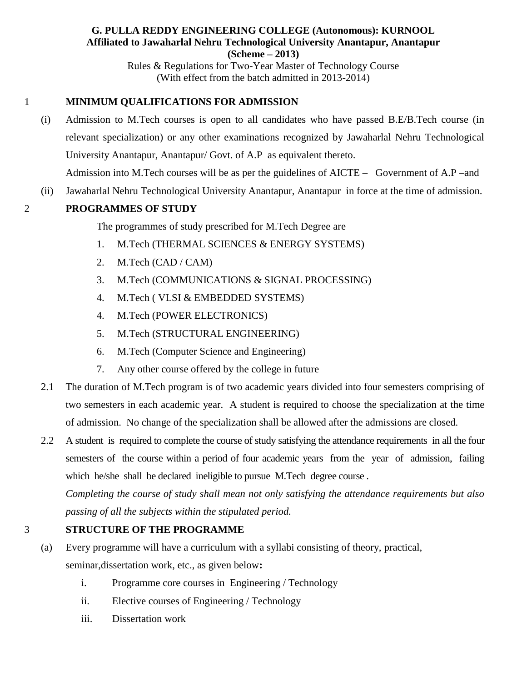### **G. PULLA REDDY ENGINEERING COLLEGE (Autonomous): KURNOOL Affiliated to Jawaharlal Nehru Technological University Anantapur, Anantapur (Scheme – 2013)**

Rules & Regulations for Two-Year Master of Technology Course (With effect from the batch admitted in 2013-2014)

# 1 **MINIMUM QUALIFICATIONS FOR ADMISSION**

- (i) Admission to M.Tech courses is open to all candidates who have passed B.E/B.Tech course (in relevant specialization) or any other examinations recognized by Jawaharlal Nehru Technological University Anantapur, Anantapur/ Govt. of A.P as equivalent thereto. Admission into M.Tech courses will be as per the guidelines of AICTE – Government of A.P –and
- (ii) Jawaharlal Nehru Technological University Anantapur, Anantapur in force at the time of admission.

# 2 **PROGRAMMES OF STUDY**

The programmes of study prescribed for M.Tech Degree are

- 1. M.Tech (THERMAL SCIENCES & ENERGY SYSTEMS)
- 2. M.Tech (CAD / CAM)
- 3. M.Tech (COMMUNICATIONS & SIGNAL PROCESSING)
- 4. M.Tech ( VLSI & EMBEDDED SYSTEMS)
- 4. M.Tech (POWER ELECTRONICS)
- 5. M.Tech (STRUCTURAL ENGINEERING)
- 6. M.Tech (Computer Science and Engineering)
- 7. Any other course offered by the college in future
- 2.1 The duration of M.Tech program is of two academic years divided into four semesters comprising of two semesters in each academic year. A student is required to choose the specialization at the time of admission. No change of the specialization shall be allowed after the admissions are closed.
- 2.2 A student is required to complete the course of study satisfying the attendance requirements in all the four semesters of the course within a period of four academic years from the year of admission, failing which he/she shall be declared ineligible to pursue M.Tech degree course .

*Completing the course of study shall mean not only satisfying the attendance requirements but also passing of all the subjects within the stipulated period.*

# 3 **STRUCTURE OF THE PROGRAMME**

- (a) Every programme will have a curriculum with a syllabi consisting of theory, practical, seminar,dissertation work, etc., as given below**:** 
	- i. Programme core courses in Engineering / Technology
	- ii. Elective courses of Engineering / Technology
	- iii. Dissertation work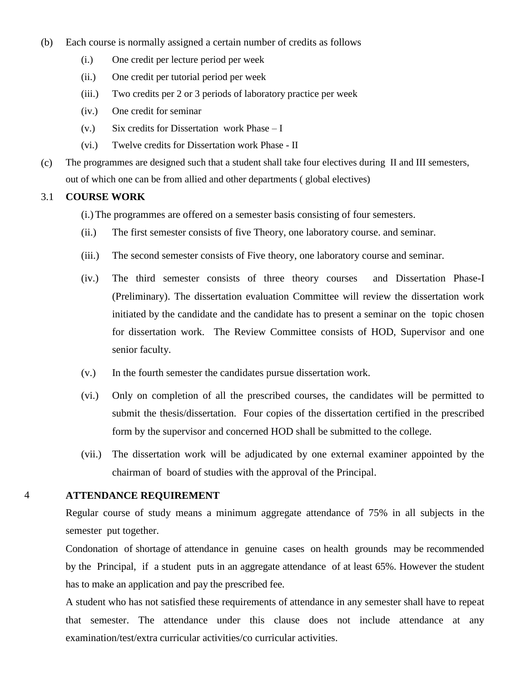- (b) Each course is normally assigned a certain number of credits as follows
	- (i.) One credit per lecture period per week
	- (ii.) One credit per tutorial period per week
	- (iii.) Two credits per 2 or 3 periods of laboratory practice per week
	- (iv.) One credit for seminar
	- (v.) Six credits for Dissertation work Phase I
	- (vi.) Twelve credits for Dissertation work Phase II
- (c) The programmes are designed such that a student shall take four electives during II and III semesters, out of which one can be from allied and other departments ( global electives)

#### 3.1 **COURSE WORK**

- (i.) The programmes are offered on a semester basis consisting of four semesters.
- (ii.) The first semester consists of five Theory, one laboratory course. and seminar.
- (iii.) The second semester consists of Five theory, one laboratory course and seminar.
- (iv.) The third semester consists of three theory courses and Dissertation Phase-I (Preliminary). The dissertation evaluation Committee will review the dissertation work initiated by the candidate and the candidate has to present a seminar on the topic chosen for dissertation work. The Review Committee consists of HOD, Supervisor and one senior faculty.
- (v.) In the fourth semester the candidates pursue dissertation work.
- (vi.) Only on completion of all the prescribed courses, the candidates will be permitted to submit the thesis/dissertation. Four copies of the dissertation certified in the prescribed form by the supervisor and concerned HOD shall be submitted to the college.
- (vii.) The dissertation work will be adjudicated by one external examiner appointed by the chairman of board of studies with the approval of the Principal.

### 4 **ATTENDANCE REQUIREMENT**

Regular course of study means a minimum aggregate attendance of 75% in all subjects in the semester put together.

Condonation of shortage of attendance in genuine cases on health grounds may be recommended by the Principal, if a student puts in an aggregate attendance of at least 65%. However the student has to make an application and pay the prescribed fee.

A student who has not satisfied these requirements of attendance in any semester shall have to repeat that semester. The attendance under this clause does not include attendance at any examination/test/extra curricular activities/co curricular activities.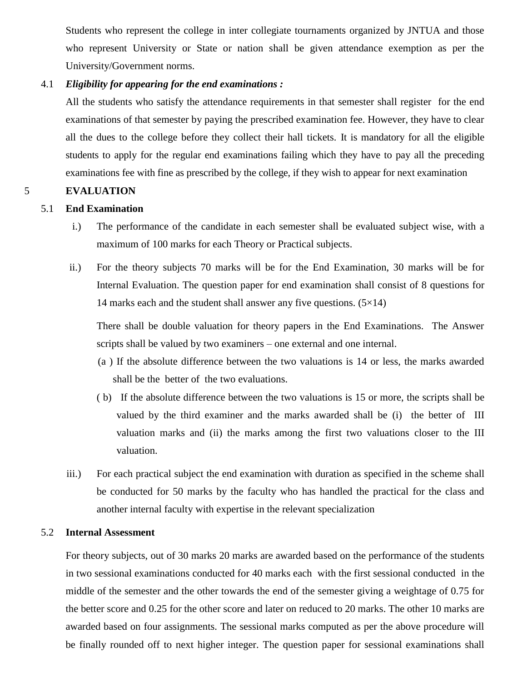Students who represent the college in inter collegiate tournaments organized by JNTUA and those who represent University or State or nation shall be given attendance exemption as per the University/Government norms.

#### 4.1 *Eligibility for appearing for the end examinations :*

All the students who satisfy the attendance requirements in that semester shall register for the end examinations of that semester by paying the prescribed examination fee. However, they have to clear all the dues to the college before they collect their hall tickets. It is mandatory for all the eligible students to apply for the regular end examinations failing which they have to pay all the preceding examinations fee with fine as prescribed by the college, if they wish to appear for next examination

### 5 **EVALUATION**

### 5.1 **End Examination**

- i.) The performance of the candidate in each semester shall be evaluated subject wise, with a maximum of 100 marks for each Theory or Practical subjects.
- ii.) For the theory subjects 70 marks will be for the End Examination, 30 marks will be for Internal Evaluation. The question paper for end examination shall consist of 8 questions for 14 marks each and the student shall answer any five questions.  $(5\times14)$

There shall be double valuation for theory papers in the End Examinations. The Answer scripts shall be valued by two examiners – one external and one internal.

- (a ) If the absolute difference between the two valuations is 14 or less, the marks awarded shall be the better of the two evaluations.
- ( b) If the absolute difference between the two valuations is 15 or more, the scripts shall be valued by the third examiner and the marks awarded shall be (i) the better of III valuation marks and (ii) the marks among the first two valuations closer to the III valuation.
- iii.) For each practical subject the end examination with duration as specified in the scheme shall be conducted for 50 marks by the faculty who has handled the practical for the class and another internal faculty with expertise in the relevant specialization

### 5.2 **Internal Assessment**

For theory subjects, out of 30 marks 20 marks are awarded based on the performance of the students in two sessional examinations conducted for 40 marks each with the first sessional conducted in the middle of the semester and the other towards the end of the semester giving a weightage of 0.75 for the better score and 0.25 for the other score and later on reduced to 20 marks. The other 10 marks are awarded based on four assignments. The sessional marks computed as per the above procedure will be finally rounded off to next higher integer. The question paper for sessional examinations shall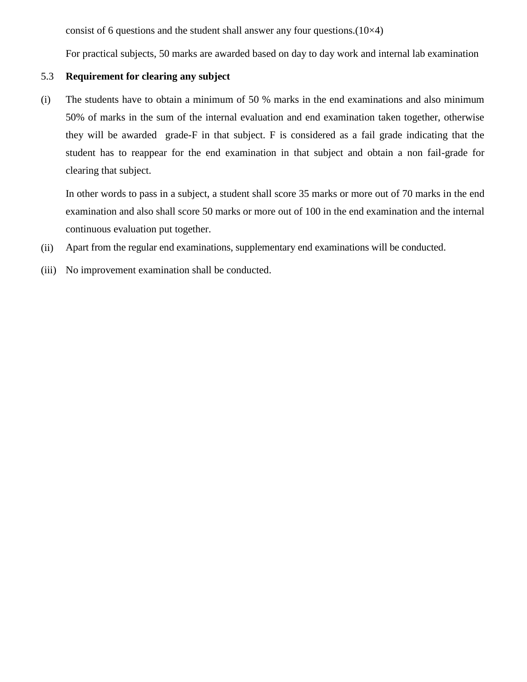consist of 6 questions and the student shall answer any four questions. $(10\times4)$ 

For practical subjects, 50 marks are awarded based on day to day work and internal lab examination

### 5.3 **Requirement for clearing any subject**

(i) The students have to obtain a minimum of 50 % marks in the end examinations and also minimum 50% of marks in the sum of the internal evaluation and end examination taken together, otherwise they will be awarded grade-F in that subject. F is considered as a fail grade indicating that the student has to reappear for the end examination in that subject and obtain a non fail-grade for clearing that subject.

In other words to pass in a subject, a student shall score 35 marks or more out of 70 marks in the end examination and also shall score 50 marks or more out of 100 in the end examination and the internal continuous evaluation put together.

- (ii) Apart from the regular end examinations, supplementary end examinations will be conducted.
- (iii) No improvement examination shall be conducted.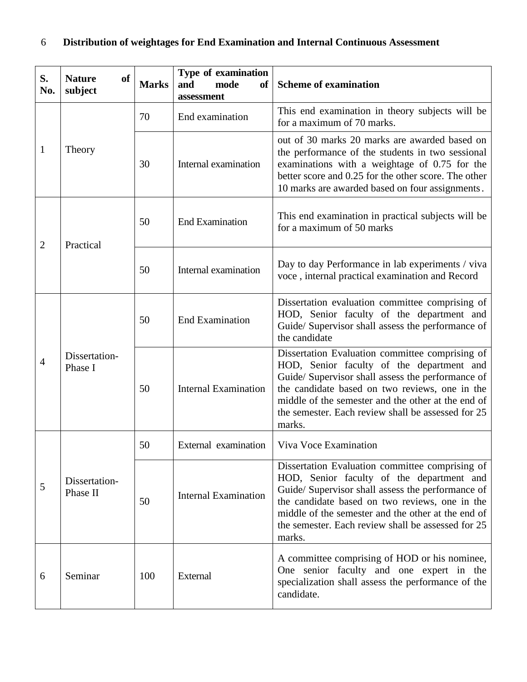# 6 **Distribution of weightages for End Examination and Internal Continuous Assessment**

| S.<br>No.      | <b>Nature</b><br>of<br>subject | <b>Marks</b> | Type of examination<br>mode<br>and<br><b>of</b><br>assessment | <b>Scheme of examination</b>                                                                                                                                                                                                                                                                                              |
|----------------|--------------------------------|--------------|---------------------------------------------------------------|---------------------------------------------------------------------------------------------------------------------------------------------------------------------------------------------------------------------------------------------------------------------------------------------------------------------------|
| $\mathbf{1}$   | Theory                         | 70           | End examination                                               | This end examination in theory subjects will be<br>for a maximum of 70 marks.                                                                                                                                                                                                                                             |
|                |                                | 30           | Internal examination                                          | out of 30 marks 20 marks are awarded based on<br>the performance of the students in two sessional<br>examinations with a weightage of 0.75 for the<br>better score and 0.25 for the other score. The other<br>10 marks are awarded based on four assignments.                                                             |
| $\overline{2}$ | Practical                      | 50           | <b>End Examination</b>                                        | This end examination in practical subjects will be<br>for a maximum of 50 marks                                                                                                                                                                                                                                           |
|                |                                | 50           | Internal examination                                          | Day to day Performance in lab experiments / viva<br>voce, internal practical examination and Record                                                                                                                                                                                                                       |
| $\overline{4}$ | Dissertation-<br>Phase I       | 50           | <b>End Examination</b>                                        | Dissertation evaluation committee comprising of<br>HOD, Senior faculty of the department and<br>Guide/ Supervisor shall assess the performance of<br>the candidate                                                                                                                                                        |
|                |                                | 50           | <b>Internal Examination</b>                                   | Dissertation Evaluation committee comprising of<br>HOD, Senior faculty of the department and<br>Guide/ Supervisor shall assess the performance of<br>the candidate based on two reviews, one in the<br>middle of the semester and the other at the end of<br>the semester. Each review shall be assessed for 25<br>marks. |
| 5              | Dissertation-<br>Phase II      | 50           | External examination                                          | Viva Voce Examination                                                                                                                                                                                                                                                                                                     |
|                |                                | 50           | <b>Internal Examination</b>                                   | Dissertation Evaluation committee comprising of<br>HOD, Senior faculty of the department and<br>Guide/ Supervisor shall assess the performance of<br>the candidate based on two reviews, one in the<br>middle of the semester and the other at the end of<br>the semester. Each review shall be assessed for 25<br>marks. |
| 6              | Seminar                        | 100          | External                                                      | A committee comprising of HOD or his nominee,<br>One senior faculty and one expert in the<br>specialization shall assess the performance of the<br>candidate.                                                                                                                                                             |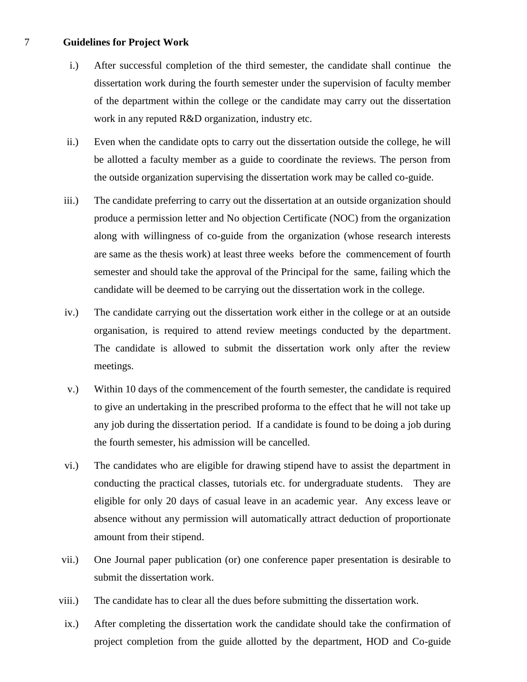#### 7 **Guidelines for Project Work**

- i.) After successful completion of the third semester, the candidate shall continue the dissertation work during the fourth semester under the supervision of faculty member of the department within the college or the candidate may carry out the dissertation work in any reputed R&D organization, industry etc.
- ii.) Even when the candidate opts to carry out the dissertation outside the college, he will be allotted a faculty member as a guide to coordinate the reviews. The person from the outside organization supervising the dissertation work may be called co-guide.
- iii.) The candidate preferring to carry out the dissertation at an outside organization should produce a permission letter and No objection Certificate (NOC) from the organization along with willingness of co-guide from the organization (whose research interests are same as the thesis work) at least three weeks before the commencement of fourth semester and should take the approval of the Principal for the same, failing which the candidate will be deemed to be carrying out the dissertation work in the college.
- iv.) The candidate carrying out the dissertation work either in the college or at an outside organisation, is required to attend review meetings conducted by the department. The candidate is allowed to submit the dissertation work only after the review meetings.
- v.) Within 10 days of the commencement of the fourth semester, the candidate is required to give an undertaking in the prescribed proforma to the effect that he will not take up any job during the dissertation period. If a candidate is found to be doing a job during the fourth semester, his admission will be cancelled.
- vi.) The candidates who are eligible for drawing stipend have to assist the department in conducting the practical classes, tutorials etc. for undergraduate students. They are eligible for only 20 days of casual leave in an academic year. Any excess leave or absence without any permission will automatically attract deduction of proportionate amount from their stipend.
- vii.) One Journal paper publication (or) one conference paper presentation is desirable to submit the dissertation work.
- viii.) The candidate has to clear all the dues before submitting the dissertation work.
- ix.) After completing the dissertation work the candidate should take the confirmation of project completion from the guide allotted by the department, HOD and Co-guide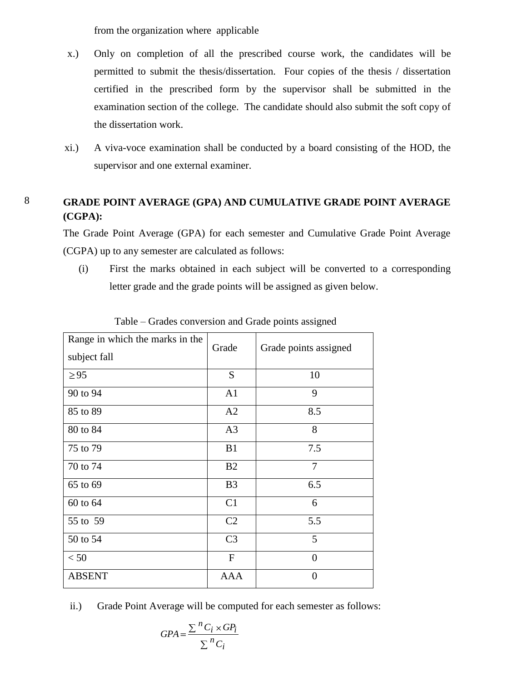from the organization where applicable

- x.) Only on completion of all the prescribed course work, the candidates will be permitted to submit the thesis/dissertation. Four copies of the thesis / dissertation certified in the prescribed form by the supervisor shall be submitted in the examination section of the college. The candidate should also submit the soft copy of the dissertation work.
- xi.) A viva-voce examination shall be conducted by a board consisting of the HOD, the supervisor and one external examiner.

# 8 **GRADE POINT AVERAGE (GPA) AND CUMULATIVE GRADE POINT AVERAGE (CGPA):**

The Grade Point Average (GPA) for each semester and Cumulative Grade Point Average (CGPA) up to any semester are calculated as follows:

(i) First the marks obtained in each subject will be converted to a corresponding letter grade and the grade points will be assigned as given below.

| Range in which the marks in the<br>subject fall | Grade          | Grade points assigned |
|-------------------------------------------------|----------------|-----------------------|
| $\geq$ 95                                       | S              | 10                    |
| 90 to 94                                        | A <sub>1</sub> | 9                     |
| 85 to 89                                        | A2             | 8.5                   |
| 80 to 84                                        | A <sub>3</sub> | 8                     |
| 75 to 79                                        | B1             | 7.5                   |
| 70 to 74                                        | B2             | $\overline{7}$        |
| 65 to 69                                        | B <sub>3</sub> | 6.5                   |
| 60 to 64                                        | C1             | 6                     |
| 55 to 59                                        | C <sub>2</sub> | 5.5                   |
| 50 to 54                                        | C <sub>3</sub> | 5                     |
| < 50                                            | $\mathbf F$    | $\overline{0}$        |
| <b>ABSENT</b>                                   | AAA            | $\theta$              |

Table – Grades conversion and Grade points assigned

ii.) Grade Point Average will be computed for each semester as follows:

$$
GPA = \frac{\sum {}^{n}C_{i} \times GP_{i}}{\sum {}^{n}C_{i}}
$$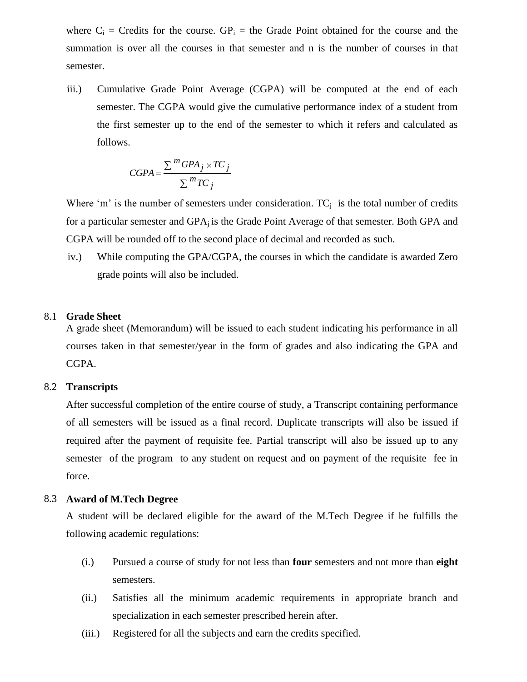where  $C_i$  = Credits for the course.  $GP_i$  = the Grade Point obtained for the course and the summation is over all the courses in that semester and n is the number of courses in that semester.

iii.) Cumulative Grade Point Average (CGPA) will be computed at the end of each semester. The CGPA would give the cumulative performance index of a student from the first semester up to the end of the semester to which it refers and calculated as follows.

$$
CGPA = \frac{\sum{}^{m} GPA_j \times TC_j}{\sum{}^{m} TC_j}
$$

Where 'm' is the number of semesters under consideration.  $TC_i$  is the total number of credits for a particular semester and GPAj is the Grade Point Average of that semester. Both GPA and CGPA will be rounded off to the second place of decimal and recorded as such.

iv.) While computing the GPA/CGPA, the courses in which the candidate is awarded Zero grade points will also be included.

#### 8.1 **Grade Sheet**

A grade sheet (Memorandum) will be issued to each student indicating his performance in all courses taken in that semester/year in the form of grades and also indicating the GPA and CGPA.

#### 8.2 **Transcripts**

After successful completion of the entire course of study, a Transcript containing performance of all semesters will be issued as a final record. Duplicate transcripts will also be issued if required after the payment of requisite fee. Partial transcript will also be issued up to any semester of the program to any student on request and on payment of the requisite fee in force.

#### 8.3 **Award of M.Tech Degree**

A student will be declared eligible for the award of the M.Tech Degree if he fulfills the following academic regulations:

- (i.) Pursued a course of study for not less than **four** semesters and not more than **eight** semesters.
- (ii.) Satisfies all the minimum academic requirements in appropriate branch and specialization in each semester prescribed herein after.
- (iii.) Registered for all the subjects and earn the credits specified.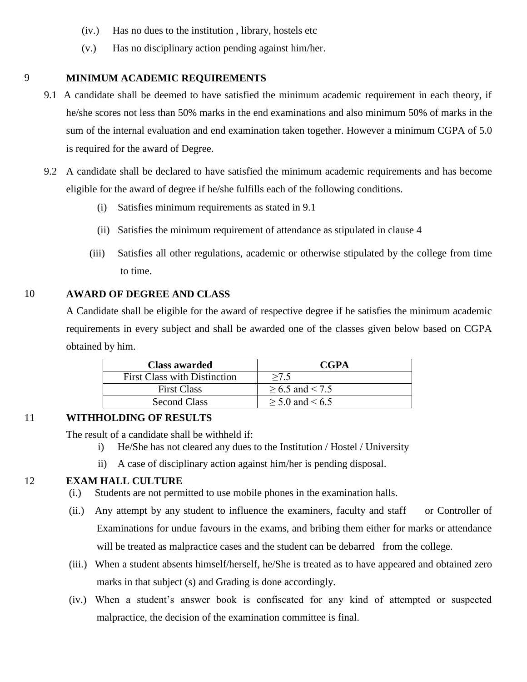- (iv.) Has no dues to the institution , library, hostels etc
- (v.) Has no disciplinary action pending against him/her.

### 9 **MINIMUM ACADEMIC REQUIREMENTS**

- 9.1 A candidate shall be deemed to have satisfied the minimum academic requirement in each theory, if he/she scores not less than 50% marks in the end examinations and also minimum 50% of marks in the sum of the internal evaluation and end examination taken together. However a minimum CGPA of 5.0 is required for the award of Degree.
- 9.2 A candidate shall be declared to have satisfied the minimum academic requirements and has become eligible for the award of degree if he/she fulfills each of the following conditions.
	- (i) Satisfies minimum requirements as stated in 9.1
	- (ii) Satisfies the minimum requirement of attendance as stipulated in clause 4
	- (iii) Satisfies all other regulations, academic or otherwise stipulated by the college from time to time.

### 10 **AWARD OF DEGREE AND CLASS**

A Candidate shall be eligible for the award of respective degree if he satisfies the minimum academic requirements in every subject and shall be awarded one of the classes given below based on CGPA obtained by him.

| <b>Class awarded</b>                | <b>CGPA</b>          |
|-------------------------------------|----------------------|
| <b>First Class with Distinction</b> | >7.5                 |
| <b>First Class</b>                  | $> 6.5$ and $< 7.5$  |
| <b>Second Class</b>                 | $\geq$ 5.0 and < 6.5 |

# 11 **WITHHOLDING OF RESULTS**

The result of a candidate shall be withheld if:

- i) He/She has not cleared any dues to the Institution / Hostel / University
- ii) A case of disciplinary action against him/her is pending disposal.

## 12 **EXAM HALL CULTURE**

- (i.) Students are not permitted to use mobile phones in the examination halls.
- (ii.) Any attempt by any student to influence the examiners, faculty and staff or Controller of Examinations for undue favours in the exams, and bribing them either for marks or attendance will be treated as malpractice cases and the student can be debarred from the college.
- (iii.) When a student absents himself/herself, he/She is treated as to have appeared and obtained zero marks in that subject (s) and Grading is done accordingly.
- (iv.) When a student's answer book is confiscated for any kind of attempted or suspected malpractice, the decision of the examination committee is final.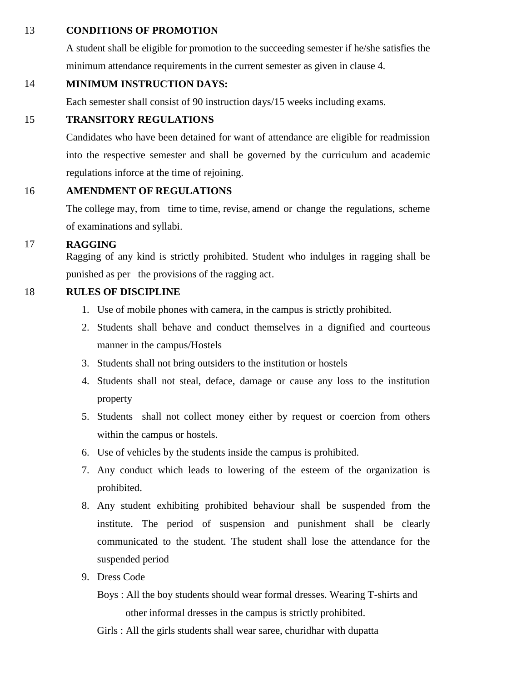### 13 **CONDITIONS OF PROMOTION**

A student shall be eligible for promotion to the succeeding semester if he/she satisfies the minimum attendance requirements in the current semester as given in clause 4.

# 14 **MINIMUM INSTRUCTION DAYS:**

Each semester shall consist of 90 instruction days/15 weeks including exams.

# 15 **TRANSITORY REGULATIONS**

Candidates who have been detained for want of attendance are eligible for readmission into the respective semester and shall be governed by the curriculum and academic regulations inforce at the time of rejoining.

# 16 **AMENDMENT OF REGULATIONS**

The college may, from time to time, revise, amend or change the regulations, scheme of examinations and syllabi.

# 17 **RAGGING**

Ragging of any kind is strictly prohibited. Student who indulges in ragging shall be punished as per the provisions of the ragging act.

# 18 **RULES OF DISCIPLINE**

- 1. Use of mobile phones with camera, in the campus is strictly prohibited.
- 2. Students shall behave and conduct themselves in a dignified and courteous manner in the campus/Hostels
- 3. Students shall not bring outsiders to the institution or hostels
- 4. Students shall not steal, deface, damage or cause any loss to the institution property
- 5. Students shall not collect money either by request or coercion from others within the campus or hostels.
- 6. Use of vehicles by the students inside the campus is prohibited.
- 7. Any conduct which leads to lowering of the esteem of the organization is prohibited.
- 8. Any student exhibiting prohibited behaviour shall be suspended from the institute. The period of suspension and punishment shall be clearly communicated to the student. The student shall lose the attendance for the suspended period
- 9. Dress Code
	- Boys : All the boy students should wear formal dresses. Wearing T-shirts and other informal dresses in the campus is strictly prohibited.
	- Girls : All the girls students shall wear saree, churidhar with dupatta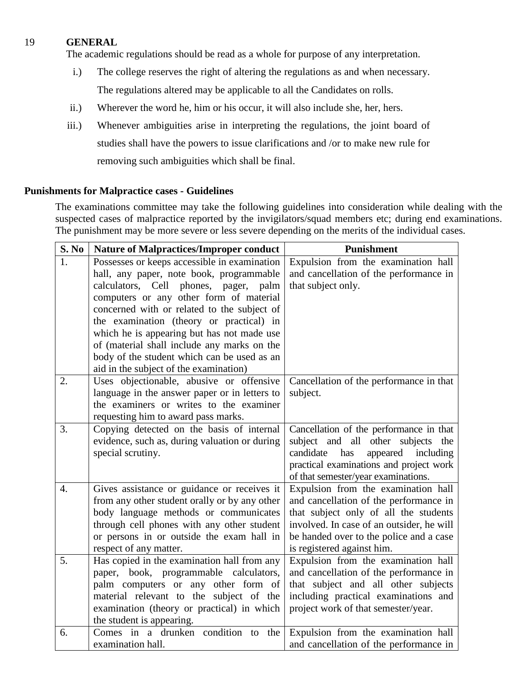## 19 **GENERAL**

The academic regulations should be read as a whole for purpose of any interpretation.

- i.) The college reserves the right of altering the regulations as and when necessary. The regulations altered may be applicable to all the Candidates on rolls.
- ii.) Wherever the word he, him or his occur, it will also include she, her, hers.
- iii.) Whenever ambiguities arise in interpreting the regulations, the joint board of studies shall have the powers to issue clarifications and /or to make new rule for removing such ambiguities which shall be final.

### **Punishments for Malpractice cases - Guidelines**

The examinations committee may take the following guidelines into consideration while dealing with the suspected cases of malpractice reported by the invigilators/squad members etc; during end examinations. The punishment may be more severe or less severe depending on the merits of the individual cases.

| S. No            | <b>Nature of Malpractices/Improper conduct</b>                                         | Punishment                                                                         |
|------------------|----------------------------------------------------------------------------------------|------------------------------------------------------------------------------------|
| 1.               | Possesses or keeps accessible in examination                                           | Expulsion from the examination hall                                                |
|                  | hall, any paper, note book, programmable                                               | and cancellation of the performance in                                             |
|                  | calculators, Cell phones, pager,<br>palm                                               | that subject only.                                                                 |
|                  | computers or any other form of material                                                |                                                                                    |
|                  | concerned with or related to the subject of                                            |                                                                                    |
|                  | the examination (theory or practical) in                                               |                                                                                    |
|                  | which he is appearing but has not made use                                             |                                                                                    |
|                  | of (material shall include any marks on the                                            |                                                                                    |
|                  | body of the student which can be used as an                                            |                                                                                    |
|                  | aid in the subject of the examination)                                                 |                                                                                    |
| 2.               | Uses objectionable, abusive or offensive                                               | Cancellation of the performance in that                                            |
|                  | language in the answer paper or in letters to                                          | subject.                                                                           |
|                  | the examiners or writes to the examiner                                                |                                                                                    |
|                  | requesting him to award pass marks.                                                    |                                                                                    |
| 3.               | Copying detected on the basis of internal                                              | Cancellation of the performance in that                                            |
|                  | evidence, such as, during valuation or during                                          | subject and all other subjects the                                                 |
|                  | special scrutiny.                                                                      | candidate<br>has<br>appeared<br>including                                          |
|                  |                                                                                        | practical examinations and project work                                            |
| $\overline{4}$ . |                                                                                        | of that semester/year examinations.                                                |
|                  | Gives assistance or guidance or receives it                                            | Expulsion from the examination hall                                                |
|                  | from any other student orally or by any other<br>body language methods or communicates | and cancellation of the performance in                                             |
|                  |                                                                                        | that subject only of all the students<br>involved. In case of an outsider, he will |
|                  | through cell phones with any other student                                             |                                                                                    |
|                  | or persons in or outside the exam hall in<br>respect of any matter.                    | be handed over to the police and a case<br>is registered against him.              |
| 5.               | Has copied in the examination hall from any                                            | Expulsion from the examination hall                                                |
|                  | paper, book, programmable calculators,                                                 | and cancellation of the performance in                                             |
|                  | palm computers or any other form of                                                    | that subject and all other subjects                                                |
|                  | material relevant to the subject of the                                                | including practical examinations and                                               |
|                  | examination (theory or practical) in which                                             | project work of that semester/year.                                                |
|                  | the student is appearing.                                                              |                                                                                    |
| 6.               | Comes in a drunken condition<br>the<br>to                                              | Expulsion from the examination hall                                                |
|                  | examination hall.                                                                      | and cancellation of the performance in                                             |
|                  |                                                                                        |                                                                                    |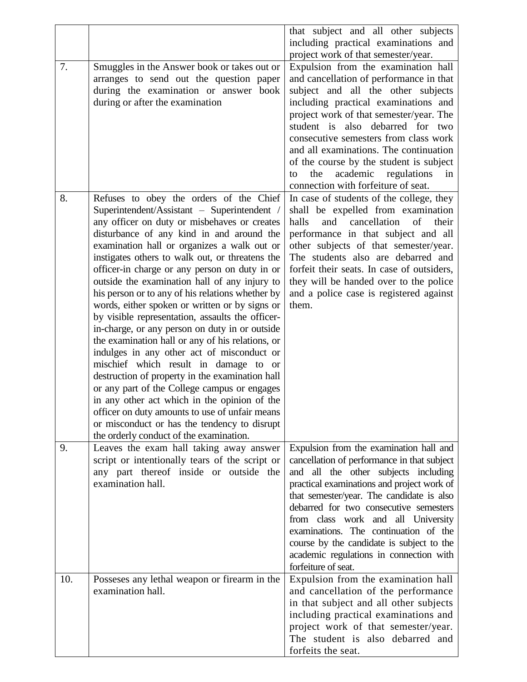|     |                                                                                                                                                                                                                                                                                                                                                                                                                                                                                                                                                                                                                                                                                                                                                                                                                                                                                                                                                                                                                                                | that subject and all other subjects<br>including practical examinations and<br>project work of that semester/year.                                                                                                                                                                                                                                                                                                                                                |
|-----|------------------------------------------------------------------------------------------------------------------------------------------------------------------------------------------------------------------------------------------------------------------------------------------------------------------------------------------------------------------------------------------------------------------------------------------------------------------------------------------------------------------------------------------------------------------------------------------------------------------------------------------------------------------------------------------------------------------------------------------------------------------------------------------------------------------------------------------------------------------------------------------------------------------------------------------------------------------------------------------------------------------------------------------------|-------------------------------------------------------------------------------------------------------------------------------------------------------------------------------------------------------------------------------------------------------------------------------------------------------------------------------------------------------------------------------------------------------------------------------------------------------------------|
| 7.  | Smuggles in the Answer book or takes out or<br>arranges to send out the question paper<br>during the examination or answer book<br>during or after the examination                                                                                                                                                                                                                                                                                                                                                                                                                                                                                                                                                                                                                                                                                                                                                                                                                                                                             | Expulsion from the examination hall<br>and cancellation of performance in that<br>subject and all the other subjects<br>including practical examinations and<br>project work of that semester/year. The<br>student is also debarred for two<br>consecutive semesters from class work<br>and all examinations. The continuation<br>of the course by the student is subject<br>academic regulations<br>the<br>in<br>to<br>connection with forfeiture of seat.       |
| 8.  | Refuses to obey the orders of the Chief<br>Superintendent/Assistant - Superintendent /<br>any officer on duty or misbehaves or creates<br>disturbance of any kind in and around the<br>examination hall or organizes a walk out or<br>instigates others to walk out, or threatens the<br>officer-in charge or any person on duty in or<br>outside the examination hall of any injury to<br>his person or to any of his relations whether by<br>words, either spoken or written or by signs or<br>by visible representation, assaults the officer-<br>in-charge, or any person on duty in or outside<br>the examination hall or any of his relations, or<br>indulges in any other act of misconduct or<br>mischief which result in damage to or<br>destruction of property in the examination hall<br>or any part of the College campus or engages<br>in any other act which in the opinion of the<br>officer on duty amounts to use of unfair means<br>or misconduct or has the tendency to disrupt<br>the orderly conduct of the examination. | In case of students of the college, they<br>shall be expelled from examination<br>cancellation<br>of<br>halls<br>and<br>their<br>performance in that subject and all<br>other subjects of that semester/year.<br>The students also are debarred and<br>forfeit their seats. In case of outsiders,<br>they will be handed over to the police<br>and a police case is registered against<br>them.                                                                   |
| 9.  | Leaves the exam hall taking away answer<br>script or intentionally tears of the script or<br>any part thereof inside or outside the<br>examination hall.                                                                                                                                                                                                                                                                                                                                                                                                                                                                                                                                                                                                                                                                                                                                                                                                                                                                                       | Expulsion from the examination hall and<br>cancellation of performance in that subject<br>and all the other subjects including<br>practical examinations and project work of<br>that semester/year. The candidate is also<br>debarred for two consecutive semesters<br>from class work and all University<br>examinations. The continuation of the<br>course by the candidate is subject to the<br>academic regulations in connection with<br>forfeiture of seat. |
| 10. | Possesses any lethal weapon or firearm in the<br>examination hall.                                                                                                                                                                                                                                                                                                                                                                                                                                                                                                                                                                                                                                                                                                                                                                                                                                                                                                                                                                             | Expulsion from the examination hall<br>and cancellation of the performance<br>in that subject and all other subjects<br>including practical examinations and<br>project work of that semester/year.<br>The student is also debarred and<br>forfeits the seat.                                                                                                                                                                                                     |